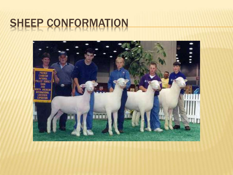### SHEEP CONFORMATION

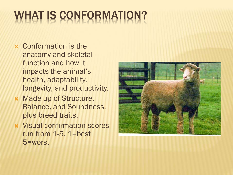# WHAT IS CONFORMATION?

- Conformation is the anatomy and skeletal function and how it impacts the animal's health, adaptability, longevity, and productivity.
- Made up of Structure, Balance, and Soundness, plus breed traits.
- Visual confirmation scores run from 1-5. 1=best 5=worst

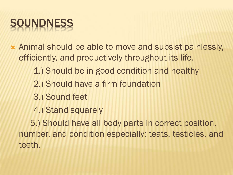## SOUNDNESS

- Animal should be able to move and subsist painlessly, efficiently, and productively throughout its life.
	- 1.) Should be in good condition and healthy
	- 2.) Should have a firm foundation
	- 3.) Sound feet
	- 4.) Stand squarely

 5.) Should have all body parts in correct position, number, and condition especially: teats, testicles, and teeth.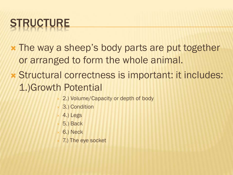# **STRUCTURE**

- The way a sheep's body parts are put together or arranged to form the whole animal.
- Structural correctness is important: it includes: 1.)Growth Potential
	- 2.) Volume/Capacity or depth of body
	- 3.) Condition
	- 4.) Legs
	- 5.) Back
	- 6.) Neck
	- 7.) The eye socket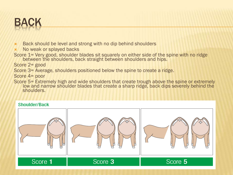

- Back should be level and strong with no dip behind shoulders
- No weak or splayed backs
- Score 1= Very good, shoulder blades sit squarely on either side of the spine with no ridge between the shoulders, back straight between shoulders and hips.

Score 2= good

- Score 3= Average, shoulders positioned below the spine to create a ridge.
- Score 4= poor
- Score 5= Extremely high and wide shoulders that create trough above the spine or extremely low and narrow shoulder blades that create a sharp ridge, back dips severely behind the shoulders.

#### Shoulder/Back

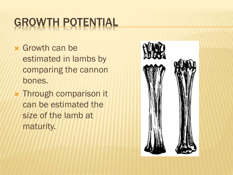## GROWTH POTENTIAL

- Growth can be estimated in lambs by comparing the cannon bones.
- Through comparison it can be estimated the size of the lamb at maturity.

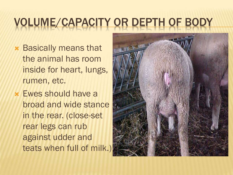## VOLUME/CAPACITY OR DEPTH OF BODY

- Basically means that the animal has room inside for heart, lungs, rumen, etc.
- Ewes should have a broad and wide stance in the rear. (close-set rear legs can rub against udder and teats when full of milk.)

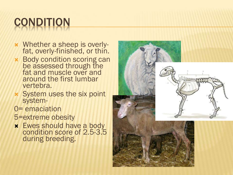## **CONDITION**

- Whether a sheep is overlyfat, overly-finished, or thin.
- **\*** Body condition scoring can be assessed through the fat and muscle over and around the first lumbar vertebra.
- System uses the six point system-
- 0= emaciation
- 5=extreme obesity
- **\*** Ewes should have a body condition score of 2.5-3.5 during breeding.

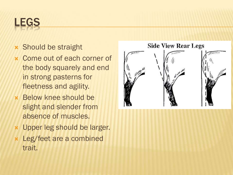#### LEGS

- Should be straight
- Come out of each corner of the body squarely and end in strong pasterns for fleetness and agility.
- **\*** Below knee should be slight and slender from absence of muscles.
- Upper leg should be larger.
- Leg/feet are a combined trait.

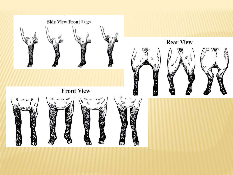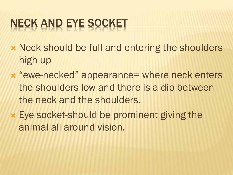## NECK AND EYE SOCKET

- **\* Neck should be full and entering the shoulders** high up
- **\* "ewe-necked" appearance= where neck enters** the shoulders low and there is a dip between the neck and the shoulders.
- Eye socket-should be prominent giving the animal all around vision.